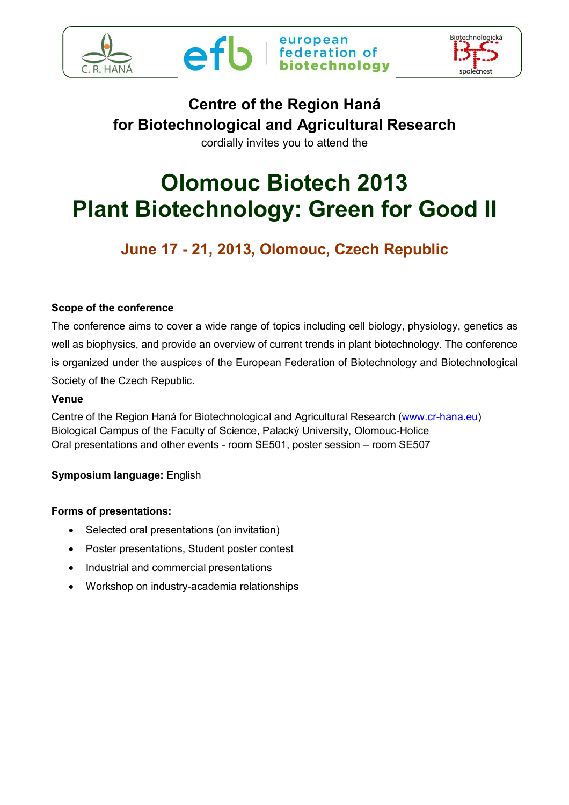





# **Centre of the Region Haná for Biotechnological and Agricultural Research**

cordially invites you to attend the

# **Olomouc Biotech 2013 Plant Biotechnology: Green for Good II**

## **June 17 - 21, 2013, Olomouc, Czech Republic**

#### **Scope of the conference**

The conference aims to cover a wide range of topics including cell biology, physiology, genetics as well as biophysics, and provide an overview of current trends in plant biotechnology. The conference is organized under the auspices of the European Federation of Biotechnology and Biotechnological Society of the Czech Republic.

#### **Venue**

Centre of the Region Haná for Biotechnological and Agricultural Research (www.cr-hana.eu) Biological Campus of the Faculty of Science, Palacký University, Olomouc-Holice Oral presentations and other events - room SE501, poster session – room SE507

#### **Symposium language:** English

#### **Forms of presentations:**

- Selected oral presentations (on invitation)
- Poster presentations, Student poster contest
- Industrial and commercial presentations
- Workshop on industry-academia relationships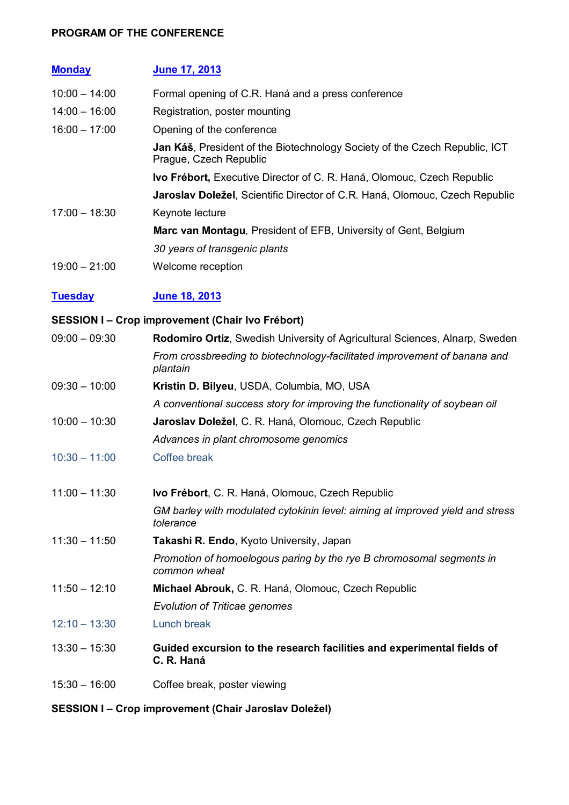#### **PROGRAM OF THE CONFERENCE**

| <b>Monday</b>   | <b>June 17, 2013</b>                                                                                         |
|-----------------|--------------------------------------------------------------------------------------------------------------|
| $10:00 - 14:00$ | Formal opening of C.R. Haná and a press conference                                                           |
| $14:00 - 16:00$ | Registration, poster mounting                                                                                |
| $16:00 - 17:00$ | Opening of the conference                                                                                    |
|                 | <b>Jan Káš</b> , President of the Biotechnology Society of the Czech Republic, ICT<br>Prague, Czech Republic |
|                 | <b>Ivo Frébort, Executive Director of C. R. Haná, Olomouc, Czech Republic</b>                                |
|                 | Jaroslav Doležel, Scientific Director of C.R. Haná, Olomouc, Czech Republic                                  |
| $17:00 - 18:30$ | Keynote lecture                                                                                              |
|                 | <b>Marc van Montagu, President of EFB, University of Gent, Belgium</b>                                       |
|                 | 30 years of transgenic plants                                                                                |
| $19:00 - 21:00$ | Welcome reception                                                                                            |

#### **Tuesday June 18, 2013**

#### **SESSION I – Crop improvement (Chair Ivo Frébort)**

| $09:00 - 09:30$ | Rodomiro Ortiz, Swedish University of Agricultural Sciences, Alnarp, Sweden                |
|-----------------|--------------------------------------------------------------------------------------------|
|                 | From crossbreeding to biotechnology-facilitated improvement of banana and<br>plantain      |
| $09:30 - 10:00$ | Kristin D. Bilyeu, USDA, Columbia, MO, USA                                                 |
|                 | A conventional success story for improving the functionality of soybean oil                |
| $10:00 - 10:30$ | Jaroslav Doležel, C. R. Haná, Olomouc, Czech Republic                                      |
|                 | Advances in plant chromosome genomics                                                      |
| $10:30 - 11:00$ | Coffee break                                                                               |
| $11:00 - 11:30$ | Ivo Frébort, C. R. Haná, Olomouc, Czech Republic                                           |
|                 | GM barley with modulated cytokinin level: aiming at improved yield and stress<br>tolerance |
| $11:30 - 11:50$ | Takashi R. Endo, Kyoto University, Japan                                                   |
|                 | Promotion of homoelogous paring by the rye B chromosomal segments in<br>common wheat       |
| $11:50 - 12:10$ | Michael Abrouk, C. R. Haná, Olomouc, Czech Republic                                        |
|                 | <b>Evolution of Triticae genomes</b>                                                       |
| $12:10 - 13:30$ | <b>Lunch break</b>                                                                         |
| $13:30 - 15:30$ | Guided excursion to the research facilities and experimental fields of<br>C. R. Haná       |
| $15:30 - 16:00$ | Coffee break, poster viewing                                                               |

## **SESSION I – Crop improvement (Chair Jaroslav Doležel)**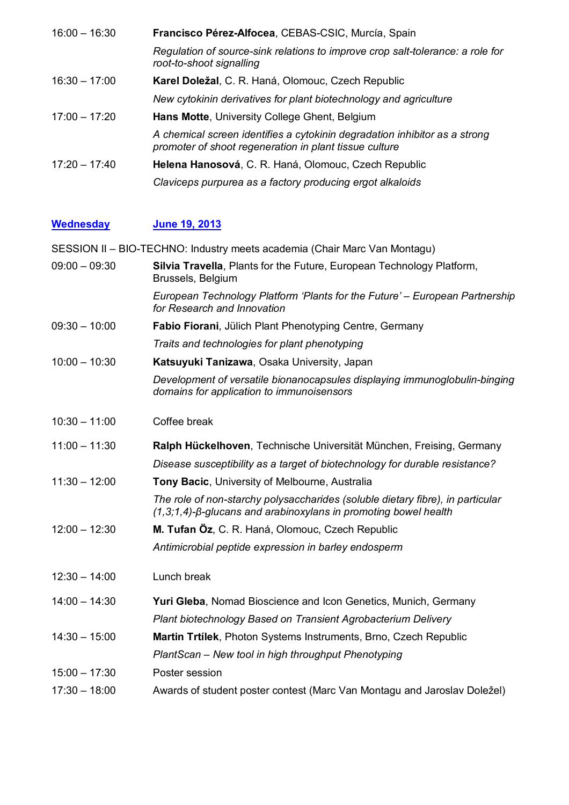| $16:00 - 16:30$ | Francisco Pérez-Alfocea, CEBAS-CSIC, Murcía, Spain                                                                                   |
|-----------------|--------------------------------------------------------------------------------------------------------------------------------------|
|                 | Regulation of source-sink relations to improve crop salt-tolerance: a role for<br>root-to-shoot signalling                           |
| $16:30 - 17:00$ | Karel Doležal, C. R. Haná, Olomouc, Czech Republic                                                                                   |
|                 | New cytokinin derivatives for plant biotechnology and agriculture                                                                    |
| $17:00 - 17:20$ | <b>Hans Motte, University College Ghent, Belgium</b>                                                                                 |
|                 | A chemical screen identifies a cytokinin degradation inhibitor as a strong<br>promoter of shoot regeneration in plant tissue culture |
| $17:20 - 17:40$ | Helena Hanosová, C. R. Haná, Olomouc, Czech Republic                                                                                 |
|                 | Claviceps purpurea as a factory producing ergot alkaloids                                                                            |

### **Wednesday June 19, 2013**

SESSION II – BIO-TECHNO: Industry meets academia (Chair Marc Van Montagu)

| $09:00 - 09:30$ | Silvia Travella, Plants for the Future, European Technology Platform,<br>Brussels, Belgium                                                                   |
|-----------------|--------------------------------------------------------------------------------------------------------------------------------------------------------------|
|                 | European Technology Platform 'Plants for the Future' – European Partnership<br>for Research and Innovation                                                   |
| $09:30 - 10:00$ | Fabio Fiorani, Jülich Plant Phenotyping Centre, Germany                                                                                                      |
|                 | Traits and technologies for plant phenotyping                                                                                                                |
| $10:00 - 10:30$ | Katsuyuki Tanizawa, Osaka University, Japan                                                                                                                  |
|                 | Development of versatile bionanocapsules displaying immunoglobulin-binging<br>domains for application to immunoisensors                                      |
| $10:30 - 11:00$ | Coffee break                                                                                                                                                 |
| $11:00 - 11:30$ | Ralph Hückelhoven, Technische Universität München, Freising, Germany                                                                                         |
|                 | Disease susceptibility as a target of biotechnology for durable resistance?                                                                                  |
| $11:30 - 12:00$ | Tony Bacic, University of Melbourne, Australia                                                                                                               |
|                 | The role of non-starchy polysaccharides (soluble dietary fibre), in particular<br>$(1,3,1,4)$ - $\beta$ -glucans and arabinoxylans in promoting bowel health |
| $12:00 - 12:30$ | M. Tufan Öz, C. R. Haná, Olomouc, Czech Republic                                                                                                             |
|                 | Antimicrobial peptide expression in barley endosperm                                                                                                         |
| $12:30 - 14:00$ | Lunch break                                                                                                                                                  |
| $14:00 - 14:30$ | Yuri Gleba, Nomad Bioscience and Icon Genetics, Munich, Germany                                                                                              |
|                 | Plant biotechnology Based on Transient Agrobacterium Delivery                                                                                                |
| $14:30 - 15:00$ | Martin Trtilek, Photon Systems Instruments, Brno, Czech Republic                                                                                             |
|                 | PlantScan - New tool in high throughput Phenotyping                                                                                                          |
| $15:00 - 17:30$ | Poster session                                                                                                                                               |
| $17:30 - 18:00$ | Awards of student poster contest (Marc Van Montagu and Jaroslav Doležel)                                                                                     |
|                 |                                                                                                                                                              |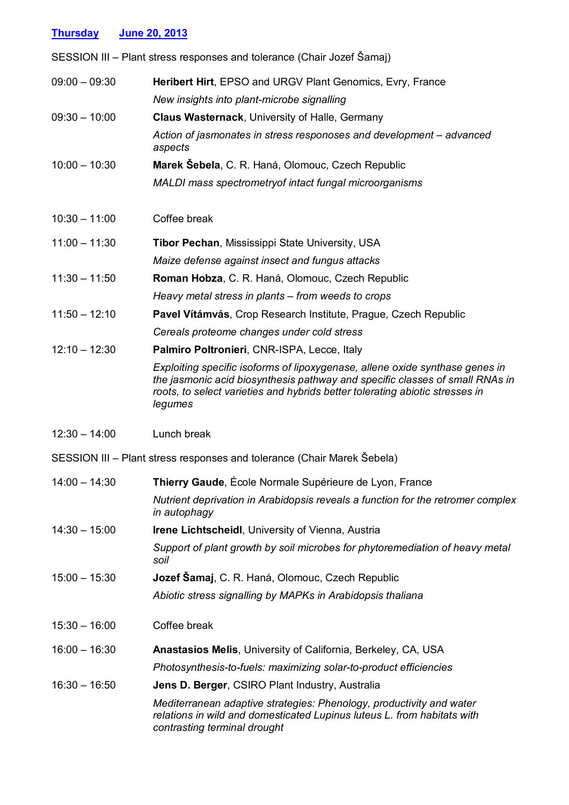| <b>Thursday</b> | June 20, 2013                                                                                                                                                                                                                                           |
|-----------------|---------------------------------------------------------------------------------------------------------------------------------------------------------------------------------------------------------------------------------------------------------|
|                 | SESSION III – Plant stress responses and tolerance (Chair Jozef Šamaj)                                                                                                                                                                                  |
| $09:00 - 09:30$ | Heribert Hirt, EPSO and URGV Plant Genomics, Evry, France                                                                                                                                                                                               |
|                 | New insights into plant-microbe signalling                                                                                                                                                                                                              |
| $09:30 - 10:00$ | Claus Wasternack, University of Halle, Germany                                                                                                                                                                                                          |
|                 | Action of jasmonates in stress responoses and development – advanced<br>aspects                                                                                                                                                                         |
| $10:00 - 10:30$ | Marek Šebela, C. R. Haná, Olomouc, Czech Republic                                                                                                                                                                                                       |
|                 | MALDI mass spectrometry of intact fungal microorganisms                                                                                                                                                                                                 |
| $10:30 - 11:00$ | Coffee break                                                                                                                                                                                                                                            |
| $11:00 - 11:30$ | <b>Tibor Pechan, Mississippi State University, USA</b>                                                                                                                                                                                                  |
|                 | Maize defense against insect and fungus attacks                                                                                                                                                                                                         |
| $11:30 - 11:50$ | Roman Hobza, C. R. Haná, Olomouc, Czech Republic                                                                                                                                                                                                        |
|                 | Heavy metal stress in plants – from weeds to crops                                                                                                                                                                                                      |
| $11:50 - 12:10$ | Pavel Vítámvás, Crop Research Institute, Prague, Czech Republic                                                                                                                                                                                         |
|                 | Cereals proteome changes under cold stress                                                                                                                                                                                                              |
| $12:10 - 12:30$ | Palmiro Poltronieri, CNR-ISPA, Lecce, Italy                                                                                                                                                                                                             |
|                 | Exploiting specific isoforms of lipoxygenase, allene oxide synthase genes in<br>the jasmonic acid biosynthesis pathway and specific classes of small RNAs in<br>roots, to select varieties and hybrids better tolerating abiotic stresses in<br>legumes |
| $12:30 - 14:00$ | Lunch break                                                                                                                                                                                                                                             |
|                 | SESSION III - Plant stress responses and tolerance (Chair Marek Šebela)                                                                                                                                                                                 |
| $14:00 - 14:30$ | Thierry Gaude, École Normale Supérieure de Lyon, France                                                                                                                                                                                                 |
|                 | Nutrient deprivation in Arabidopsis reveals a function for the retromer complex<br>in autophagy                                                                                                                                                         |
| $14:30 - 15:00$ | <b>Irene Lichtscheidl, University of Vienna, Austria</b>                                                                                                                                                                                                |
|                 | Support of plant growth by soil microbes for phytoremediation of heavy metal<br>soil                                                                                                                                                                    |
| $15:00 - 15:30$ | Jozef Šamaj, C. R. Haná, Olomouc, Czech Republic                                                                                                                                                                                                        |
|                 | Abiotic stress signalling by MAPKs in Arabidopsis thaliana                                                                                                                                                                                              |
| $15:30 - 16:00$ | Coffee break                                                                                                                                                                                                                                            |
| $16:00 - 16:30$ | <b>Anastasios Melis, University of California, Berkeley, CA, USA</b>                                                                                                                                                                                    |
|                 | Photosynthesis-to-fuels: maximizing solar-to-product efficiencies                                                                                                                                                                                       |
| $16:30 - 16:50$ | <b>Jens D. Berger, CSIRO Plant Industry, Australia</b>                                                                                                                                                                                                  |
|                 | Mediterranean adaptive strategies: Phenology, productivity and water<br>relations in wild and domesticated Lupinus luteus L. from habitats with<br>contrasting terminal drought                                                                         |